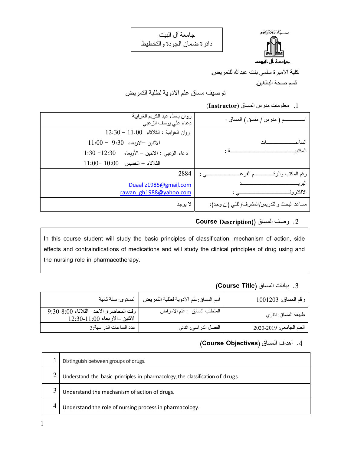جامعة آل البيت دائرة ضمان الجودة والتخطيط



كلية الاميرة سلمى بنت عبدالله للتمريض.

قسم صحة البالغين.

توصيف مساق علم الادوية لطلبة التمريض

.1 معلومات مدرس المساق (**Instructor**(

| ــم ( مدرس / منسق ) المساق :                | روان باسل عبد الكريم الغرايبة<br>دعاء على يوسف الزعبي             |
|---------------------------------------------|-------------------------------------------------------------------|
|                                             | $12:30-11:00$ روان الغرايبة : الثلاثاء $\,$                       |
| الساع                                       | $11:00 - 9:30$ الاثنين الاربعاء                                   |
| المكتبي                                     | 1:30 -12:30 $\sqrt{\frac{2}{2}}$ دعاء الزعبي : الاثنين - الأربعاء |
|                                             | $11:00-10:00$ الخميس 10:00                                        |
| ـــم الفر عــ<br>رقم المكتب والرق<br>ے :    | 2884                                                              |
| النر د<br>الالكتر و نـ                      | Duaaliz1985@gmail.com<br>rawan_gh1988@yahoo.com                   |
| مساعد البحث والتدريس/المشرف/الفني (إن وجد): | لا يو جد                                                          |

#### .2 وصف المساق ((**Description Course**

In this course student will study the basic principles of classification, mechanism of action, side effects and contraindications of medications and will study the clinical principles of drug using and the nursing role in pharmacotherapy.

#### .3 بيانات المساق (**Title Course**(

| رقم المساق: 1001203      | اسم المساق:علم الادوية لطلبة التمريض | المستوى: سنة ثانية                                                           |
|--------------------------|--------------------------------------|------------------------------------------------------------------------------|
| طبيعة المساق: نظري       | المنطلب السابق : علم الامراض         | وقت المحاضرة: الاحد ــالثلاثاء 9:30-8:00<br>  الاثنين ــالاربعاء 11:00-12:30 |
| العام الجامعي: 2020-2020 | الفصل الدر اسي: الثاني               | عدد الساعات الدر اسية:3                                                      |

## .4 أهداف المساق ِ(**Objectives Course**(

|   | Distinguish between groups of drugs.                                          |
|---|-------------------------------------------------------------------------------|
|   | Understand the basic principles in pharmacology, the classification of drugs. |
| 3 | Understand the mechanism of action of drugs.                                  |
| 4 | Understand the role of nursing process in pharmacology.                       |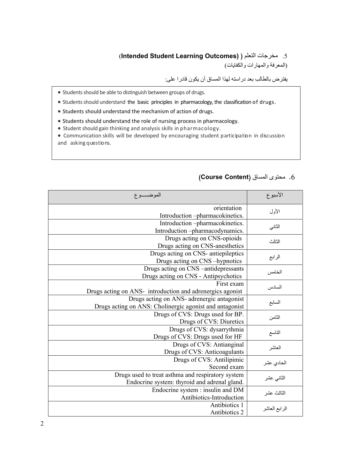# (**Intended Student Learning Outcomes)** ) التعلم مخرجات .5

(المعرفة والمهارات والكفايات)

يفترض بالطالب بعد دراسته لهذا المساق أن يكون قادرا على:

- Students should be able to distinguish between groups of drugs.
- Students should understand the basic principles in pharmacology, the classification of drugs.
- Students should understand the mechanism of action of drugs.
- Students should understand the role of nursing process in pharmacology.
- Student should gain thinking and analysis skills in pharmacology.

 Communication skills will be developed by encouraging student participation in discussion and asking questions.

| الموضـــــوع                                                                                          | الأسبوع       |
|-------------------------------------------------------------------------------------------------------|---------------|
| orientation<br>Introduction-pharmacokinetics.                                                         | الأول         |
| Introduction -pharmacokinetics.<br>Introduction -pharmacodynamics.                                    | الثاني        |
| Drugs acting on CNS-opioids<br>Drugs acting on CNS-anesthetics                                        | الثالث        |
| Drugs acting on CNS- antiepileptics<br>Drugs acting on CNS -hypnotics                                 | الرابع        |
| Drugs acting on CNS –antidepressants<br>Drugs acting on CNS - Antipsychotics                          | الخامس        |
| First exam<br>Drugs acting on ANS-introduction and adrenergics agonist                                | السادس        |
| Drugs acting on ANS- adrenergic antagonist<br>Drugs acting on ANS: Cholinergic agonist and antagonist | السابع        |
| Drugs of CVS: Drugs used for BP.<br>Drugs of CVS: Diuretics                                           | الثامن        |
| Drugs of CVS: dysarrythmia<br>Drugs of CVS: Drugs used for HF                                         | التاسع        |
| Drugs of CVS: Antianginal<br>Drugs of CVS: Anticoagulants                                             | العاشر        |
| Drugs of CVS: Antilipimic<br>Second exam                                                              | الحادي عشر    |
| Drugs used to treat asthma and respiratory system<br>Endocrine system: thyroid and adrenal gland.     | الثاني عشر    |
| Endocrine system : insulin and DM<br>Antibiotics-Introduction                                         | الثالث عشر    |
| Antibiotics 1<br>Antibiotics 2                                                                        | الرابع العاشر |

#### .6 محتوى المساق (**Content Course**(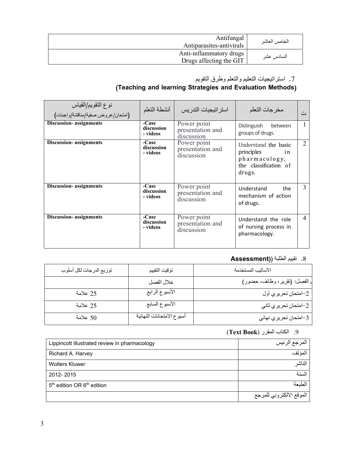| Antifungal<br>Antiparasites-antivirals             | الخامس العاشر |
|----------------------------------------------------|---------------|
| Anti-inflammatory drugs<br>Drugs affecting the GIT | السادس عشر    |

### .7 استراتيجيات التعليم والتعلم وطرق التقويم

#### **(Teaching and learning Strategies and Evaluation Methods)**

| نوع النقويم/القياس<br>(امتحان/عروض صفية/مناقشة/واجبات) | أنشطة التعلم                    | استر اتيجيات التدر بس                         | مخرجات التعلم                                                                                | د مع           |
|--------------------------------------------------------|---------------------------------|-----------------------------------------------|----------------------------------------------------------------------------------------------|----------------|
| <b>Discussion-</b> assignments                         | -Case<br>discussion<br>- videos | Power point<br>presentation and<br>discussion | Distinguish<br>between<br>groups of drugs.                                                   | Ι.             |
| <b>Discussion-</b> assignments                         | -Case<br>discussion<br>- videos | Power point<br>presentation and<br>discussion | Understand the basic<br>principles<br>in<br>pharmacology,<br>the classification of<br>drugs. | $\overline{2}$ |
| <b>Discussion-</b> assignments                         | -Case<br>discussion<br>- videos | Power point<br>presentation and<br>discussion | Understand<br>the<br>mechanism of action<br>of drugs.                                        | 3              |
| <b>Discussion-</b> assignments                         | -Case<br>discussion<br>- videos | Power point<br>presentation and<br>discussion | Understand the role<br>of nursing process in<br>pharmacology.                                | $\overline{4}$ |

#### .8 تقييم الطلبة (**(Assessment**

| توزيع الدرجات لكل أسلوب | توقيت التقييم             | الأساليب المستخدمة          |
|-------------------------|---------------------------|-----------------------------|
|                         | خلال الفصل                | الفصل: (تقرير، وظائف، حضور) |
| 25 علامة                | الأسبوع الرابع            | 2–امتحان تحريري أول         |
| 25 علامة                | الأسبوع السابع            | 2–امنحان تحريري ثاني        |
| 50 علامة                | أسبوع الامتحانات النهائية | 3–امتحان تحريري نهائي       |

# .9 الكتاب المقرر ( **Book Text**(

| Lippincott illustrated review in pharmacology      | المرجع الرئيس            |
|----------------------------------------------------|--------------------------|
| Richard A. Harvey                                  | المؤلف                   |
| <b>Wolters Kluwer</b>                              | الناشر                   |
| 2012-2015                                          | السنة                    |
| 5 <sup>th</sup> edition OR 6 <sup>th</sup> edition | لطنعة                    |
|                                                    | الموقع الالكتروني للمرجع |